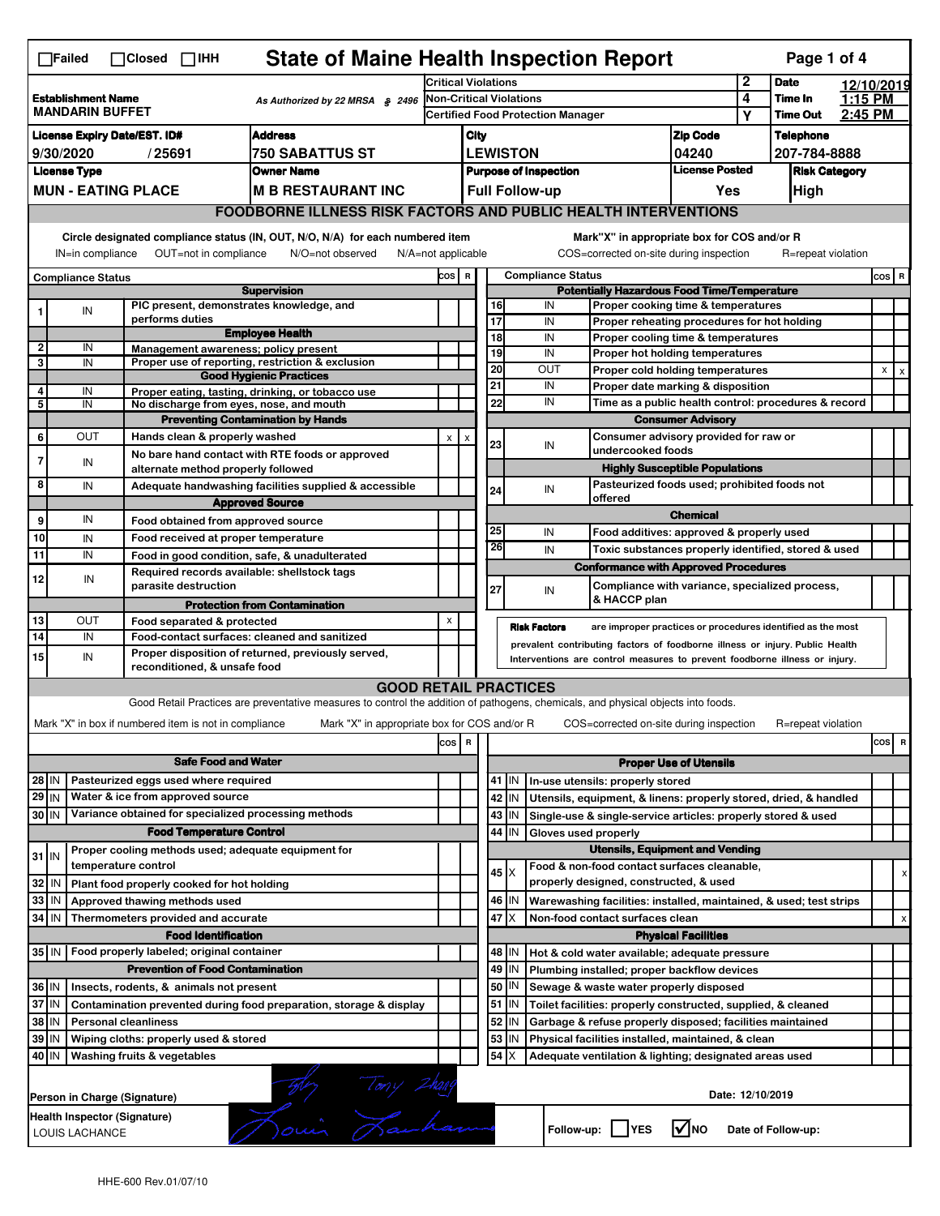| <b>State of Maine Health Inspection Report</b><br>Page 1 of 4<br>$\Box$ Failed<br>$\Box$ Closed $\Box$ IHH |                                                                                                                                                 |                                                             |                                                                                                                                   |                                                                               |                                                   |                                   |                                                                                                                                        |                                                                                         |                               |                                       |                            |                                                     |            |         |   |
|------------------------------------------------------------------------------------------------------------|-------------------------------------------------------------------------------------------------------------------------------------------------|-------------------------------------------------------------|-----------------------------------------------------------------------------------------------------------------------------------|-------------------------------------------------------------------------------|---------------------------------------------------|-----------------------------------|----------------------------------------------------------------------------------------------------------------------------------------|-----------------------------------------------------------------------------------------|-------------------------------|---------------------------------------|----------------------------|-----------------------------------------------------|------------|---------|---|
|                                                                                                            |                                                                                                                                                 |                                                             |                                                                                                                                   |                                                                               | <b>Critical Violations</b>                        |                                   |                                                                                                                                        |                                                                                         |                               |                                       | $\mathbf{2}$               | <b>Date</b>                                         | 12/10/2019 |         |   |
| <b>Establishment Name</b><br>As Authorized by 22 MRSA § 2496<br><b>MANDARIN BUFFET</b>                     |                                                                                                                                                 |                                                             |                                                                                                                                   | <b>Non-Critical Violations</b>                                                |                                                   |                                   |                                                                                                                                        |                                                                                         |                               | 4                                     | Time In<br><b>Time Out</b> | 1:15 PM<br>2:45 PM                                  |            |         |   |
|                                                                                                            |                                                                                                                                                 |                                                             |                                                                                                                                   |                                                                               | <b>Certified Food Protection Manager</b>          |                                   |                                                                                                                                        |                                                                                         |                               |                                       | Y                          |                                                     |            |         |   |
| <b>Address</b><br><b>License Expiry Date/EST. ID#</b>                                                      |                                                                                                                                                 |                                                             |                                                                                                                                   |                                                                               | <b>Zip Code</b><br>City                           |                                   |                                                                                                                                        |                                                                                         |                               | <b>Telephone</b>                      |                            |                                                     |            |         |   |
| 9/30/2020<br>/25691<br>750 SABATTUS ST                                                                     |                                                                                                                                                 |                                                             |                                                                                                                                   |                                                                               | <b>LEWISTON</b><br>04240<br><b>License Posted</b> |                                   |                                                                                                                                        |                                                                                         |                               |                                       | 207-784-8888               |                                                     |            |         |   |
| <b>License Type</b><br><b>Owner Name</b>                                                                   |                                                                                                                                                 |                                                             |                                                                                                                                   | <b>Purpose of Inspection</b><br><b>Risk Category</b><br><b>Full Follow-up</b> |                                                   |                                   |                                                                                                                                        |                                                                                         |                               |                                       |                            |                                                     |            |         |   |
|                                                                                                            | <b>MUN - EATING PLACE</b><br><b>M B RESTAURANT INC</b><br><b>FOODBORNE ILLNESS RISK FACTORS AND PUBLIC HEALTH INTERVENTIONS</b>                 |                                                             |                                                                                                                                   |                                                                               |                                                   |                                   |                                                                                                                                        |                                                                                         |                               | Yes                                   |                            | High                                                |            |         |   |
|                                                                                                            |                                                                                                                                                 |                                                             |                                                                                                                                   |                                                                               |                                                   |                                   |                                                                                                                                        |                                                                                         |                               |                                       |                            |                                                     |            |         |   |
|                                                                                                            | Circle designated compliance status (IN, OUT, N/O, N/A) for each numbered item<br>OUT=not in compliance<br>IN=in compliance<br>N/O=not observed |                                                             |                                                                                                                                   |                                                                               |                                                   |                                   | Mark"X" in appropriate box for COS and/or R<br>COS=corrected on-site during inspection<br>R=repeat violation<br>$N/A = not$ applicable |                                                                                         |                               |                                       |                            |                                                     |            |         |   |
|                                                                                                            | <b>Compliance Status</b>                                                                                                                        |                                                             |                                                                                                                                   |                                                                               |                                                   | <b>Compliance Status</b><br>COS R |                                                                                                                                        |                                                                                         |                               |                                       |                            |                                                     |            | $cos$ R |   |
|                                                                                                            |                                                                                                                                                 |                                                             | <b>Supervision</b>                                                                                                                |                                                                               |                                                   |                                   |                                                                                                                                        | <b>Potentially Hazardous Food Time/Temperature</b>                                      |                               |                                       |                            |                                                     |            |         |   |
| 1                                                                                                          | IN                                                                                                                                              | PIC present, demonstrates knowledge, and<br>performs duties |                                                                                                                                   |                                                                               |                                                   | 16<br>17                          |                                                                                                                                        | IN<br>Proper cooking time & temperatures<br>IN                                          |                               |                                       |                            |                                                     |            |         |   |
|                                                                                                            |                                                                                                                                                 |                                                             | <b>Employee Health</b>                                                                                                            |                                                                               |                                                   | 18                                |                                                                                                                                        | Proper reheating procedures for hot holding<br>IN<br>Proper cooling time & temperatures |                               |                                       |                            |                                                     |            |         |   |
| 2                                                                                                          | IN                                                                                                                                              | Management awareness: policy present                        |                                                                                                                                   |                                                                               |                                                   | 19                                |                                                                                                                                        | IN<br>Proper hot holding temperatures                                                   |                               |                                       |                            |                                                     |            |         |   |
| 3                                                                                                          | IN                                                                                                                                              |                                                             | Proper use of reporting, restriction & exclusion<br><b>Good Hygienic Practices</b>                                                |                                                                               |                                                   | 20                                |                                                                                                                                        | OUT<br>Proper cold holding temperatures                                                 |                               |                                       |                            |                                                     |            | X       |   |
| 4                                                                                                          | IN                                                                                                                                              |                                                             | Proper eating, tasting, drinking, or tobacco use                                                                                  |                                                                               |                                                   | 21                                |                                                                                                                                        | IN<br>Proper date marking & disposition                                                 |                               |                                       |                            |                                                     |            |         |   |
| 5                                                                                                          | IN                                                                                                                                              | No discharge from eyes, nose, and mouth                     |                                                                                                                                   |                                                                               |                                                   | 22                                |                                                                                                                                        | IN<br>Time as a public health control: procedures & record                              |                               |                                       |                            |                                                     |            |         |   |
|                                                                                                            |                                                                                                                                                 |                                                             | <b>Preventing Contamination by Hands</b>                                                                                          |                                                                               |                                                   |                                   |                                                                                                                                        |                                                                                         | <b>Consumer Advisory</b>      |                                       |                            |                                                     |            |         |   |
| 6                                                                                                          | OUT                                                                                                                                             | Hands clean & properly washed                               |                                                                                                                                   | X                                                                             | X                                                 | 23                                |                                                                                                                                        | Consumer advisory provided for raw or<br>IN                                             |                               |                                       |                            |                                                     |            |         |   |
| 7                                                                                                          | IN                                                                                                                                              |                                                             | No bare hand contact with RTE foods or approved                                                                                   |                                                                               |                                                   |                                   |                                                                                                                                        | undercooked foods                                                                       |                               |                                       |                            |                                                     |            |         |   |
|                                                                                                            |                                                                                                                                                 | alternate method properly followed                          |                                                                                                                                   |                                                                               |                                                   |                                   |                                                                                                                                        |                                                                                         |                               | <b>Highly Susceptible Populations</b> |                            |                                                     |            |         |   |
| 8                                                                                                          | IN                                                                                                                                              |                                                             | Adequate handwashing facilities supplied & accessible                                                                             |                                                                               |                                                   | 24                                |                                                                                                                                        | Pasteurized foods used; prohibited foods not<br>IN<br>offered                           |                               |                                       |                            |                                                     |            |         |   |
| 9                                                                                                          | IN                                                                                                                                              |                                                             | <b>Approved Source</b>                                                                                                            |                                                                               |                                                   |                                   |                                                                                                                                        |                                                                                         | <b>Chemical</b>               |                                       |                            |                                                     |            |         |   |
| 10                                                                                                         |                                                                                                                                                 | Food obtained from approved source                          |                                                                                                                                   |                                                                               |                                                   | 25                                |                                                                                                                                        | IN<br>Food additives: approved & properly used                                          |                               |                                       |                            |                                                     |            |         |   |
| 11                                                                                                         | IN<br>IN                                                                                                                                        | Food received at proper temperature                         |                                                                                                                                   |                                                                               |                                                   | 26                                |                                                                                                                                        | IN                                                                                      |                               |                                       |                            | Toxic substances properly identified, stored & used |            |         |   |
|                                                                                                            |                                                                                                                                                 | Required records available: shellstock tags                 | Food in good condition, safe, & unadulterated                                                                                     |                                                                               |                                                   |                                   |                                                                                                                                        | <b>Conformance with Approved Procedures</b>                                             |                               |                                       |                            |                                                     |            |         |   |
| 12                                                                                                         | IN                                                                                                                                              | parasite destruction                                        |                                                                                                                                   |                                                                               |                                                   | 27                                |                                                                                                                                        | IN                                                                                      |                               |                                       |                            | Compliance with variance, specialized process,      |            |         |   |
|                                                                                                            |                                                                                                                                                 |                                                             | <b>Protection from Contamination</b>                                                                                              |                                                                               |                                                   |                                   |                                                                                                                                        | & HACCP plan                                                                            |                               |                                       |                            |                                                     |            |         |   |
|                                                                                                            |                                                                                                                                                 |                                                             |                                                                                                                                   |                                                                               |                                                   |                                   |                                                                                                                                        |                                                                                         |                               |                                       |                            |                                                     |            |         |   |
| 13                                                                                                         | OUT                                                                                                                                             | Food separated & protected                                  |                                                                                                                                   | X                                                                             |                                                   |                                   |                                                                                                                                        |                                                                                         |                               |                                       |                            |                                                     |            |         |   |
| 14                                                                                                         | IN                                                                                                                                              |                                                             | Food-contact surfaces: cleaned and sanitized                                                                                      |                                                                               |                                                   |                                   |                                                                                                                                        | <b>Risk Factors</b><br>are improper practices or procedures identified as the most      |                               |                                       |                            |                                                     |            |         |   |
| 15                                                                                                         | IN                                                                                                                                              |                                                             | Proper disposition of returned, previously served,                                                                                |                                                                               |                                                   |                                   |                                                                                                                                        | prevalent contributing factors of foodborne illness or injury. Public Health            |                               |                                       |                            |                                                     |            |         |   |
|                                                                                                            |                                                                                                                                                 | reconditioned, & unsafe food                                |                                                                                                                                   |                                                                               |                                                   |                                   |                                                                                                                                        | Interventions are control measures to prevent foodborne illness or injury.              |                               |                                       |                            |                                                     |            |         |   |
|                                                                                                            |                                                                                                                                                 |                                                             | <b>GOOD RETAIL PRACTICES</b>                                                                                                      |                                                                               |                                                   |                                   |                                                                                                                                        |                                                                                         |                               |                                       |                            |                                                     |            |         |   |
|                                                                                                            |                                                                                                                                                 |                                                             | Good Retail Practices are preventative measures to control the addition of pathogens, chemicals, and physical objects into foods. |                                                                               |                                                   |                                   |                                                                                                                                        |                                                                                         |                               |                                       |                            |                                                     |            |         |   |
|                                                                                                            |                                                                                                                                                 | Mark "X" in box if numbered item is not in compliance       | Mark "X" in appropriate box for COS and/or R                                                                                      |                                                                               |                                                   |                                   |                                                                                                                                        | COS=corrected on-site during inspection                                                 |                               |                                       |                            | R=repeat violation                                  |            |         |   |
|                                                                                                            |                                                                                                                                                 |                                                             |                                                                                                                                   | cos R                                                                         |                                                   |                                   |                                                                                                                                        |                                                                                         |                               |                                       |                            |                                                     |            | cos     | R |
|                                                                                                            |                                                                                                                                                 | <b>Safe Food and Water</b>                                  |                                                                                                                                   |                                                                               |                                                   |                                   |                                                                                                                                        |                                                                                         | <b>Proper Use of Utensils</b> |                                       |                            |                                                     |            |         |   |
| 28 IN                                                                                                      |                                                                                                                                                 | Pasteurized eggs used where required                        |                                                                                                                                   |                                                                               |                                                   |                                   | 41 J IN                                                                                                                                | In-use utensils: properly stored                                                        |                               |                                       |                            |                                                     |            |         |   |
| 29 IN                                                                                                      |                                                                                                                                                 | Water & ice from approved source                            |                                                                                                                                   |                                                                               |                                                   |                                   | 42 IN                                                                                                                                  | Utensils, equipment, & linens: properly stored, dried, & handled                        |                               |                                       |                            |                                                     |            |         |   |
| 30 IN                                                                                                      |                                                                                                                                                 | Variance obtained for specialized processing methods        |                                                                                                                                   |                                                                               |                                                   |                                   | 43 IN                                                                                                                                  | Single-use & single-service articles: properly stored & used                            |                               |                                       |                            |                                                     |            |         |   |
|                                                                                                            |                                                                                                                                                 | <b>Food Temperature Control</b>                             |                                                                                                                                   |                                                                               |                                                   | 44                                | IN                                                                                                                                     | Gloves used properly                                                                    |                               |                                       |                            |                                                     |            |         |   |
| $31$ IN                                                                                                    |                                                                                                                                                 | Proper cooling methods used; adequate equipment for         |                                                                                                                                   |                                                                               |                                                   |                                   |                                                                                                                                        | <b>Utensils, Equipment and Vending</b>                                                  |                               |                                       |                            |                                                     |            |         |   |
|                                                                                                            |                                                                                                                                                 | temperature control                                         |                                                                                                                                   |                                                                               |                                                   |                                   | 45   X                                                                                                                                 | Food & non-food contact surfaces cleanable,                                             |                               |                                       |                            |                                                     |            |         | х |
| 32 IN                                                                                                      |                                                                                                                                                 | Plant food properly cooked for hot holding                  |                                                                                                                                   |                                                                               |                                                   |                                   |                                                                                                                                        | properly designed, constructed, & used                                                  |                               |                                       |                            |                                                     |            |         |   |
| 33 IN                                                                                                      |                                                                                                                                                 | Approved thawing methods used                               |                                                                                                                                   |                                                                               |                                                   |                                   | 46 IN                                                                                                                                  | Warewashing facilities: installed, maintained, & used; test strips                      |                               |                                       |                            |                                                     |            |         |   |
| 34 IN                                                                                                      |                                                                                                                                                 | Thermometers provided and accurate                          |                                                                                                                                   |                                                                               |                                                   |                                   | 47 I X                                                                                                                                 | Non-food contact surfaces clean                                                         |                               |                                       |                            |                                                     |            |         | x |
|                                                                                                            |                                                                                                                                                 | <b>Food Identification</b>                                  |                                                                                                                                   |                                                                               |                                                   |                                   |                                                                                                                                        |                                                                                         | <b>Physical Facilities</b>    |                                       |                            |                                                     |            |         |   |
|                                                                                                            |                                                                                                                                                 | 35 IN   Food properly labeled; original container           |                                                                                                                                   |                                                                               |                                                   |                                   | 48   IN                                                                                                                                | Hot & cold water available; adequate pressure                                           |                               |                                       |                            |                                                     |            |         |   |
|                                                                                                            |                                                                                                                                                 | <b>Prevention of Food Contamination</b>                     |                                                                                                                                   |                                                                               |                                                   | 49                                | IN                                                                                                                                     | Plumbing installed; proper backflow devices                                             |                               |                                       |                            |                                                     |            |         |   |
| 36 IN                                                                                                      |                                                                                                                                                 | Insects, rodents, & animals not present                     |                                                                                                                                   |                                                                               |                                                   | 50                                | IN                                                                                                                                     | Sewage & waste water properly disposed                                                  |                               |                                       |                            |                                                     |            |         |   |
| 37 IN                                                                                                      |                                                                                                                                                 |                                                             | Contamination prevented during food preparation, storage & display                                                                |                                                                               |                                                   |                                   | $51$ $\vert$ IN                                                                                                                        | Toilet facilities: properly constructed, supplied, & cleaned                            |                               |                                       |                            |                                                     |            |         |   |
| 38 IN                                                                                                      |                                                                                                                                                 | <b>Personal cleanliness</b>                                 |                                                                                                                                   |                                                                               |                                                   | 52                                | IN                                                                                                                                     | Garbage & refuse properly disposed; facilities maintained                               |                               |                                       |                            |                                                     |            |         |   |
| 39 IN<br>40 IN                                                                                             |                                                                                                                                                 | Wiping cloths: properly used & stored                       |                                                                                                                                   |                                                                               |                                                   | 53                                | IN<br>$54$ $\times$                                                                                                                    | Physical facilities installed, maintained, & clean                                      |                               |                                       |                            |                                                     |            |         |   |
|                                                                                                            |                                                                                                                                                 | Washing fruits & vegetables                                 |                                                                                                                                   |                                                                               |                                                   |                                   |                                                                                                                                        | Adequate ventilation & lighting; designated areas used                                  |                               |                                       |                            |                                                     |            |         |   |
|                                                                                                            |                                                                                                                                                 |                                                             |                                                                                                                                   |                                                                               |                                                   |                                   |                                                                                                                                        |                                                                                         |                               |                                       |                            |                                                     |            |         |   |
|                                                                                                            |                                                                                                                                                 | Person in Charge (Signature)                                |                                                                                                                                   |                                                                               |                                                   |                                   |                                                                                                                                        |                                                                                         |                               | Date: 12/10/2019                      |                            |                                                     |            |         |   |
|                                                                                                            | LOUIS LACHANCE                                                                                                                                  | Health Inspector (Signature)                                | For Tony Thang                                                                                                                    |                                                                               |                                                   |                                   |                                                                                                                                        | Follow-up: YES                                                                          | $\sqrt{ }$ NO                 |                                       |                            | Date of Follow-up:                                  |            |         |   |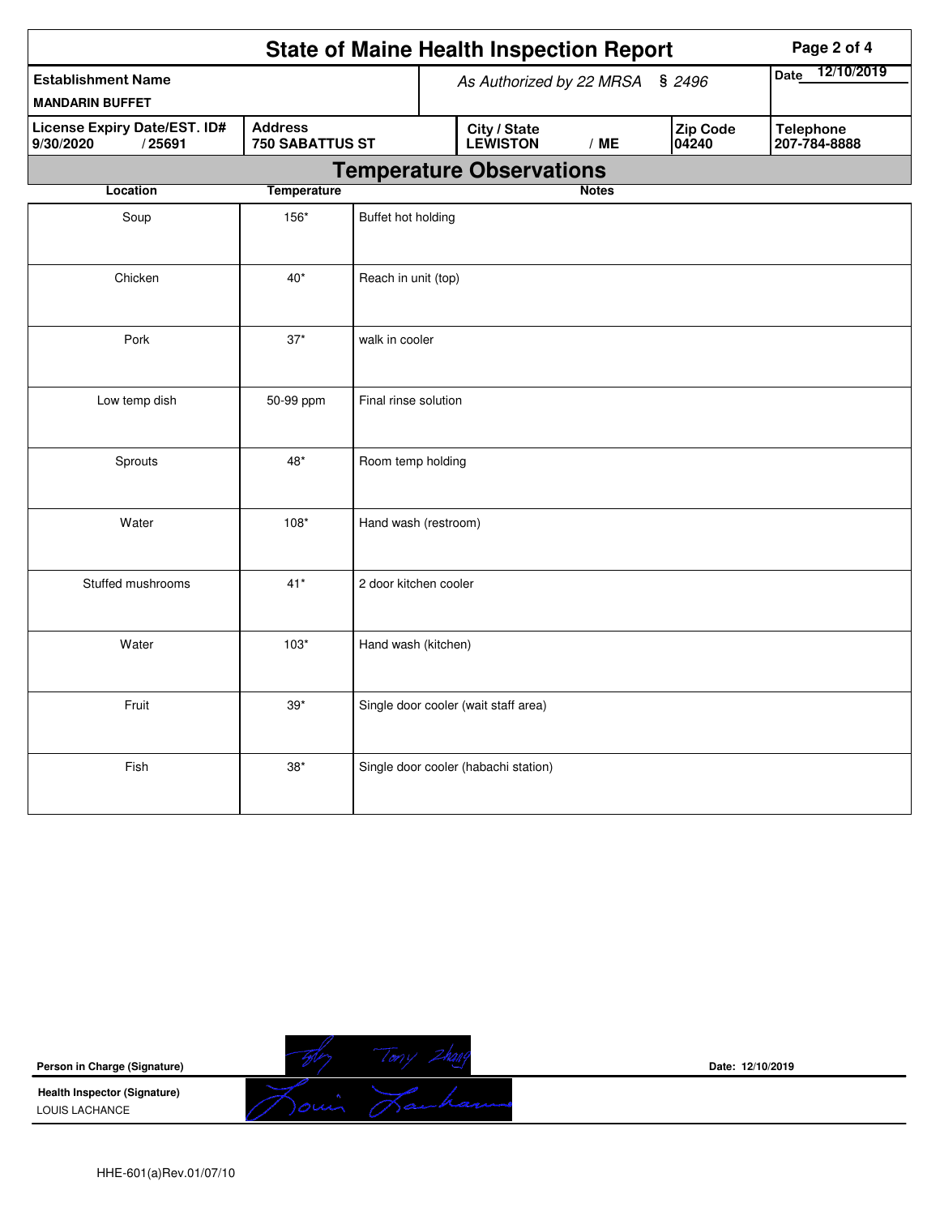|                                                            | <b>State of Maine Health Inspection Report</b> |                       |                                 | Page 2 of 4                          |              |                          |                                  |
|------------------------------------------------------------|------------------------------------------------|-----------------------|---------------------------------|--------------------------------------|--------------|--------------------------|----------------------------------|
| <b>Establishment Name</b><br><b>MANDARIN BUFFET</b>        |                                                |                       | As Authorized by 22 MRSA § 2496 | 12/10/2019<br>Date                   |              |                          |                                  |
| <b>License Expiry Date/EST. ID#</b><br>/25691<br>9/30/2020 | <b>Address</b><br>750 SABATTUS ST              |                       |                                 | City / State<br>LEWISTON             | /ME          | <b>Zip Code</b><br>04240 | <b>Telephone</b><br>207-784-8888 |
|                                                            |                                                |                       |                                 | <b>Temperature Observations</b>      |              |                          |                                  |
| Location                                                   | <b>Temperature</b>                             |                       |                                 |                                      | <b>Notes</b> |                          |                                  |
| Soup                                                       | 156*                                           | Buffet hot holding    |                                 |                                      |              |                          |                                  |
| Chicken                                                    | $40*$                                          | Reach in unit (top)   |                                 |                                      |              |                          |                                  |
| Pork                                                       | $37*$                                          | walk in cooler        |                                 |                                      |              |                          |                                  |
| Low temp dish                                              | 50-99 ppm                                      | Final rinse solution  |                                 |                                      |              |                          |                                  |
| Sprouts                                                    | 48*                                            | Room temp holding     |                                 |                                      |              |                          |                                  |
| Water                                                      | $108*$                                         | Hand wash (restroom)  |                                 |                                      |              |                          |                                  |
| Stuffed mushrooms                                          | $41*$                                          | 2 door kitchen cooler |                                 |                                      |              |                          |                                  |
| Water                                                      | $103*$                                         | Hand wash (kitchen)   |                                 |                                      |              |                          |                                  |
| Fruit                                                      | $39*$                                          |                       |                                 | Single door cooler (wait staff area) |              |                          |                                  |
| Fish                                                       | $38*$                                          |                       |                                 | Single door cooler (habachi station) |              |                          |                                  |



**Date: 12/10/2019**

HHE-601(a)Rev.01/07/10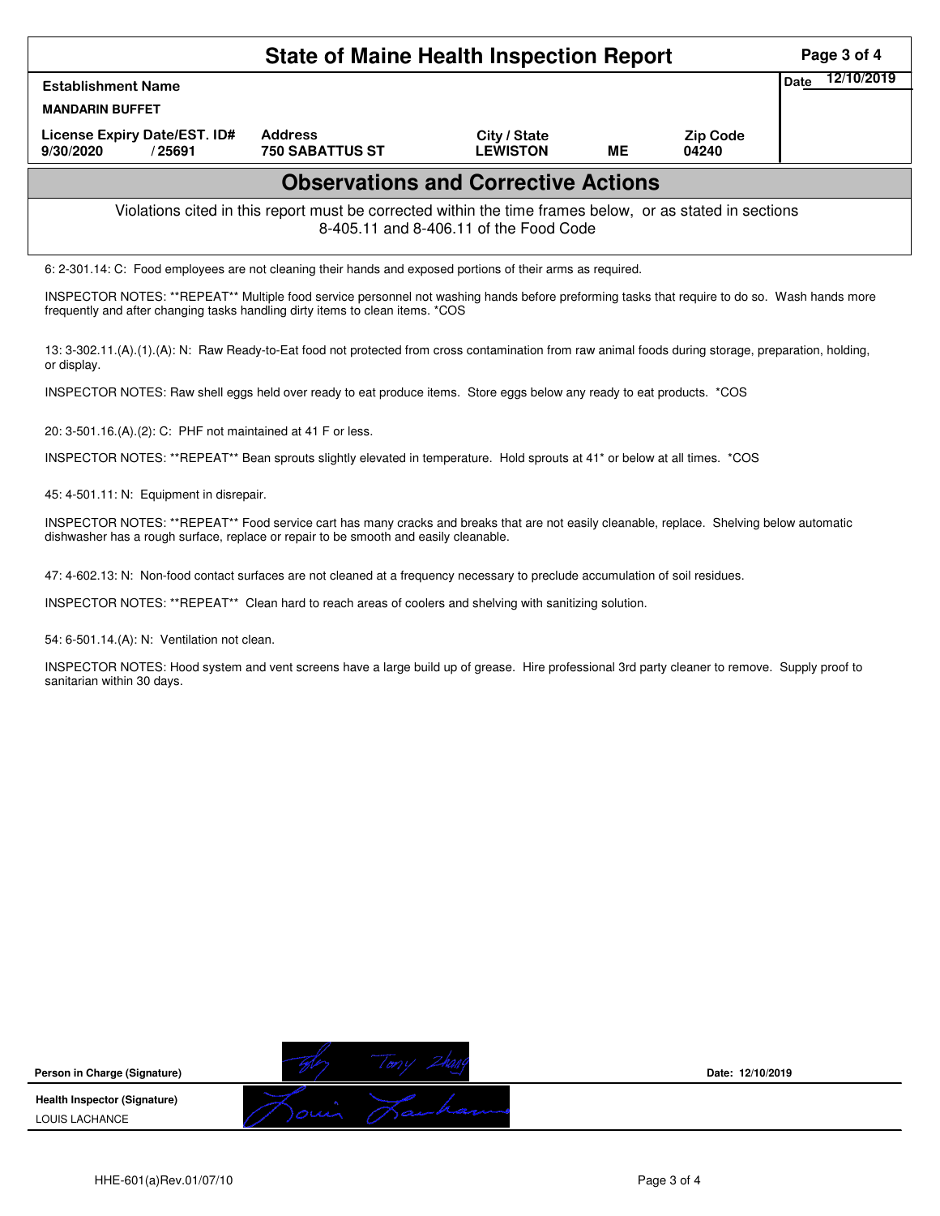|                                                                                                                                                    | Page 3 of 4                                |                                 |    |                          |      |            |  |  |  |
|----------------------------------------------------------------------------------------------------------------------------------------------------|--------------------------------------------|---------------------------------|----|--------------------------|------|------------|--|--|--|
| <b>Establishment Name</b><br><b>MANDARIN BUFFET</b>                                                                                                |                                            |                                 |    |                          | Date | 12/10/2019 |  |  |  |
| License Expiry Date/EST. ID#<br>9/30/2020<br>/ 25691                                                                                               | <b>Address</b><br><b>750 SABATTUS ST</b>   | City / State<br><b>LEWISTON</b> | ME | <b>Zip Code</b><br>04240 |      |            |  |  |  |
|                                                                                                                                                    | <b>Observations and Corrective Actions</b> |                                 |    |                          |      |            |  |  |  |
| Violations cited in this report must be corrected within the time frames below, or as stated in sections<br>8-405.11 and 8-406.11 of the Food Code |                                            |                                 |    |                          |      |            |  |  |  |
| 6: 2-301.14: C: Food employees are not cleaning their hands and exposed portions of their arms as required.                                        |                                            |                                 |    |                          |      |            |  |  |  |
| INSPECTOR NOTES: **REPEAT** Multiple food service personnel not washing hands before preforming tasks that require to do so. Wash hands more       |                                            |                                 |    |                          |      |            |  |  |  |

frequently and after changing tasks handling dirty items to clean items. \*COS

13: 3-302.11.(A).(1).(A): N: Raw Ready-to-Eat food not protected from cross contamination from raw animal foods during storage, preparation, holding, or display.

INSPECTOR NOTES: Raw shell eggs held over ready to eat produce items. Store eggs below any ready to eat products. \*COS

20: 3-501.16.(A).(2): C: PHF not maintained at 41 F or less.

INSPECTOR NOTES: \*\*REPEAT\*\* Bean sprouts slightly elevated in temperature. Hold sprouts at 41\* or below at all times. \*COS

45: 4-501.11: N: Equipment in disrepair.

INSPECTOR NOTES: \*\*REPEAT\*\* Food service cart has many cracks and breaks that are not easily cleanable, replace. Shelving below automatic dishwasher has a rough surface, replace or repair to be smooth and easily cleanable.

47: 4-602.13: N: Non-food contact surfaces are not cleaned at a frequency necessary to preclude accumulation of soil residues.

INSPECTOR NOTES: \*\*REPEAT\*\* Clean hard to reach areas of coolers and shelving with sanitizing solution.

54: 6-501.14.(A): N: Ventilation not clean.

INSPECTOR NOTES: Hood system and vent screens have a large build up of grease. Hire professional 3rd party cleaner to remove. Supply proof to sanitarian within 30 days.